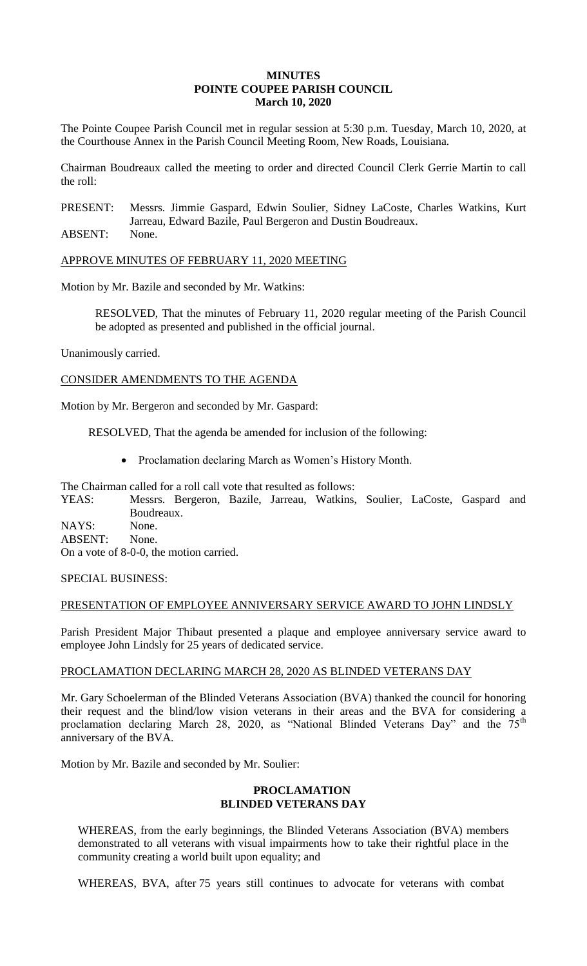## **MINUTES POINTE COUPEE PARISH COUNCIL March 10, 2020**

The Pointe Coupee Parish Council met in regular session at 5:30 p.m. Tuesday, March 10, 2020, at the Courthouse Annex in the Parish Council Meeting Room, New Roads, Louisiana.

Chairman Boudreaux called the meeting to order and directed Council Clerk Gerrie Martin to call the roll:

PRESENT: Messrs. Jimmie Gaspard, Edwin Soulier, Sidney LaCoste, Charles Watkins, Kurt Jarreau, Edward Bazile, Paul Bergeron and Dustin Boudreaux.

ABSENT: None.

APPROVE MINUTES OF FEBRUARY 11, 2020 MEETING

Motion by Mr. Bazile and seconded by Mr. Watkins:

RESOLVED, That the minutes of February 11, 2020 regular meeting of the Parish Council be adopted as presented and published in the official journal.

Unanimously carried.

CONSIDER AMENDMENTS TO THE AGENDA

Motion by Mr. Bergeron and seconded by Mr. Gaspard:

RESOLVED, That the agenda be amended for inclusion of the following:

• Proclamation declaring March as Women's History Month.

The Chairman called for a roll call vote that resulted as follows:

YEAS: Messrs. Bergeron, Bazile, Jarreau, Watkins, Soulier, LaCoste, Gaspard and Boudreaux. NAYS: None.

ABSENT: None. On a vote of 8-0-0, the motion carried.

SPECIAL BUSINESS:

### PRESENTATION OF EMPLOYEE ANNIVERSARY SERVICE AWARD TO JOHN LINDSLY

Parish President Major Thibaut presented a plaque and employee anniversary service award to employee John Lindsly for 25 years of dedicated service.

### PROCLAMATION DECLARING MARCH 28, 2020 AS BLINDED VETERANS DAY

Mr. Gary Schoelerman of the Blinded Veterans Association (BVA) thanked the council for honoring their request and the blind/low vision veterans in their areas and the BVA for considering a proclamation declaring March 28, 2020, as "National Blinded Veterans Day" and the  $75<sup>th</sup>$ anniversary of the BVA.

Motion by Mr. Bazile and seconded by Mr. Soulier:

### **PROCLAMATION BLINDED VETERANS DAY**

WHEREAS, from the early beginnings, the Blinded Veterans Association (BVA) members demonstrated to all veterans with visual impairments how to take their rightful place in the community creating a world built upon equality; and

WHEREAS, BVA, after 75 years still continues to advocate for veterans with combat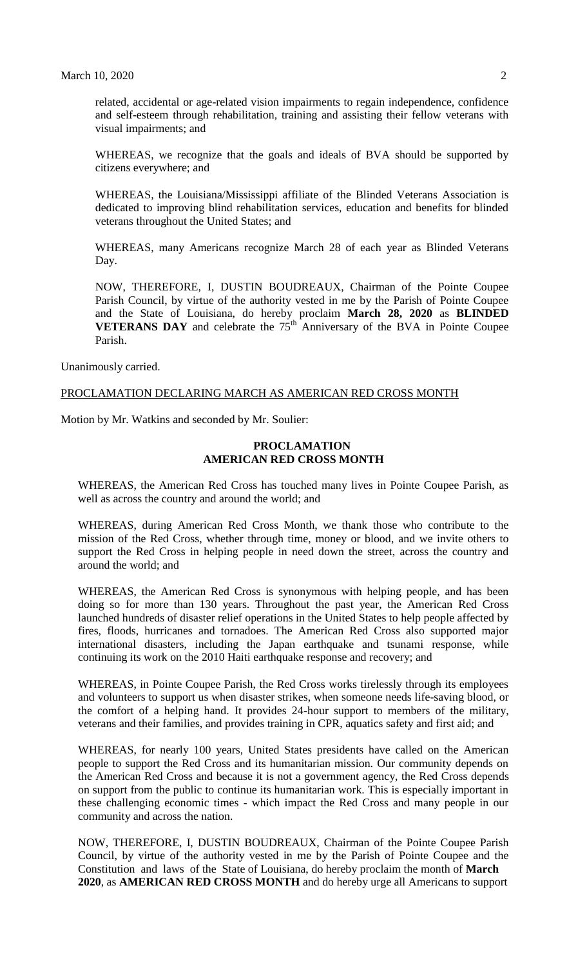related, accidental or age-related vision impairments to regain independence, confidence and self-esteem through rehabilitation, training and assisting their fellow veterans with visual impairments; and

WHEREAS, we recognize that the goals and ideals of BVA should be supported by citizens everywhere; and

WHEREAS, the Louisiana/Mississippi affiliate of the Blinded Veterans Association is dedicated to improving blind rehabilitation services, education and benefits for blinded veterans throughout the United States; and

WHEREAS, many Americans recognize March 28 of each year as Blinded Veterans Day.

NOW, THEREFORE, I, DUSTIN BOUDREAUX, Chairman of the Pointe Coupee Parish Council, by virtue of the authority vested in me by the Parish of Pointe Coupee and the State of Louisiana, do hereby proclaim **March 28, 2020** as **BLINDED VETERANS DAY** and celebrate the  $75<sup>th</sup>$  Anniversary of the BVA in Pointe Coupee Parish.

Unanimously carried.

### PROCLAMATION DECLARING MARCH AS AMERICAN RED CROSS MONTH

Motion by Mr. Watkins and seconded by Mr. Soulier:

## **PROCLAMATION AMERICAN RED CROSS MONTH**

WHEREAS, the American Red Cross has touched many lives in Pointe Coupee Parish, as well as across the country and around the world; and

WHEREAS, during American Red Cross Month, we thank those who contribute to the mission of the Red Cross, whether through time, money or blood, and we invite others to support the Red Cross in helping people in need down the street, across the country and around the world; and

WHEREAS, the American Red Cross is synonymous with helping people, and has been doing so for more than 130 years. Throughout the past year, the American Red Cross launched hundreds of disaster relief operations in the United States to help people affected by fires, floods, hurricanes and tornadoes. The American Red Cross also supported major international disasters, including the Japan earthquake and tsunami response, while continuing its work on the 2010 Haiti earthquake response and recovery; and

WHEREAS, in Pointe Coupee Parish, the Red Cross works tirelessly through its employees and volunteers to support us when disaster strikes, when someone needs life-saving blood, or the comfort of a helping hand. It provides 24-hour support to members of the military, veterans and their families, and provides training in CPR, aquatics safety and first aid; and

WHEREAS, for nearly 100 years, United States presidents have called on the American people to support the Red Cross and its humanitarian mission. Our community depends on the American Red Cross and because it is not a government agency, the Red Cross depends on support from the public to continue its humanitarian work. This is especially important in these challenging economic times - which impact the Red Cross and many people in our community and across the nation.

NOW, THEREFORE, I, DUSTIN BOUDREAUX, Chairman of the Pointe Coupee Parish Council, by virtue of the authority vested in me by the Parish of Pointe Coupee and the Constitution and laws of the State of Louisiana, do hereby proclaim the month of **March 2020**, as **AMERICAN RED CROSS MONTH** and do hereby urge all Americans to support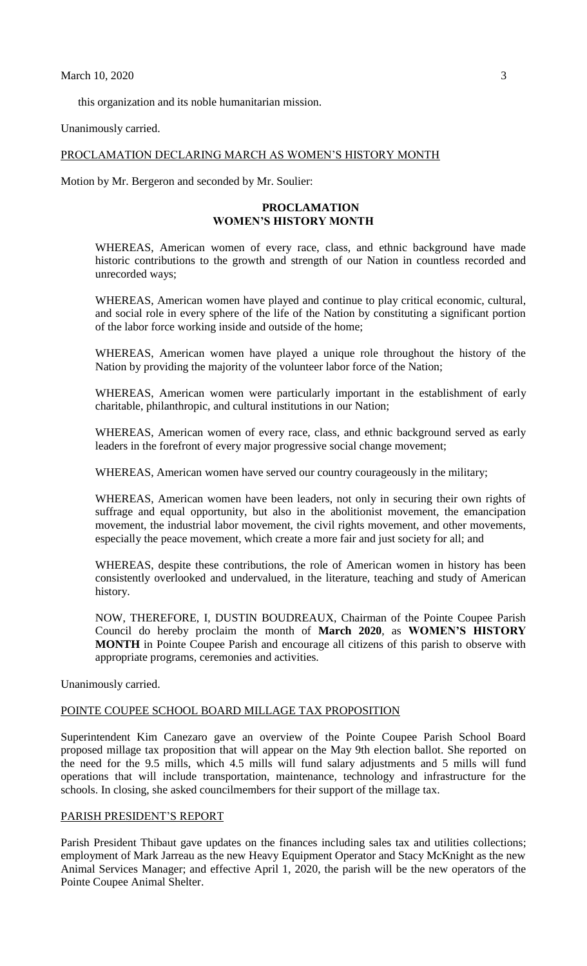this organization and its noble humanitarian mission.

Unanimously carried.

### PROCLAMATION DECLARING MARCH AS WOMEN'S HISTORY MONTH

Motion by Mr. Bergeron and seconded by Mr. Soulier:

## **PROCLAMATION WOMEN'S HISTORY MONTH**

WHEREAS, American women of every race, class, and ethnic background have made historic contributions to the growth and strength of our Nation in countless recorded and unrecorded ways;

WHEREAS, American women have played and continue to play critical economic, cultural, and social role in every sphere of the life of the Nation by constituting a significant portion of the labor force working inside and outside of the home;

WHEREAS, American women have played a unique role throughout the history of the Nation by providing the majority of the volunteer labor force of the Nation;

WHEREAS, American women were particularly important in the establishment of early charitable, philanthropic, and cultural institutions in our Nation;

WHEREAS, American women of every race, class, and ethnic background served as early leaders in the forefront of every major progressive social change movement;

WHEREAS, American women have served our country courageously in the military;

WHEREAS, American women have been leaders, not only in securing their own rights of suffrage and equal opportunity, but also in the abolitionist movement, the emancipation movement, the industrial labor movement, the civil rights movement, and other movements, especially the peace movement, which create a more fair and just society for all; and

WHEREAS, despite these contributions, the role of American women in history has been consistently overlooked and undervalued, in the literature, teaching and study of American history.

NOW, THEREFORE, I, DUSTIN BOUDREAUX, Chairman of the Pointe Coupee Parish Council do hereby proclaim the month of **March 2020**, as **WOMEN'S HISTORY MONTH** in Pointe Coupee Parish and encourage all citizens of this parish to observe with appropriate programs, ceremonies and activities.

Unanimously carried.

#### POINTE COUPEE SCHOOL BOARD MILLAGE TAX PROPOSITION

Superintendent Kim Canezaro gave an overview of the Pointe Coupee Parish School Board proposed millage tax proposition that will appear on the May 9th election ballot. She reported on the need for the 9.5 mills, which 4.5 mills will fund salary adjustments and 5 mills will fund operations that will include transportation, maintenance, technology and infrastructure for the schools. In closing, she asked councilmembers for their support of the millage tax.

### PARISH PRESIDENT'S REPORT

Parish President Thibaut gave updates on the finances including sales tax and utilities collections; employment of Mark Jarreau as the new Heavy Equipment Operator and Stacy McKnight as the new Animal Services Manager; and effective April 1, 2020, the parish will be the new operators of the Pointe Coupee Animal Shelter.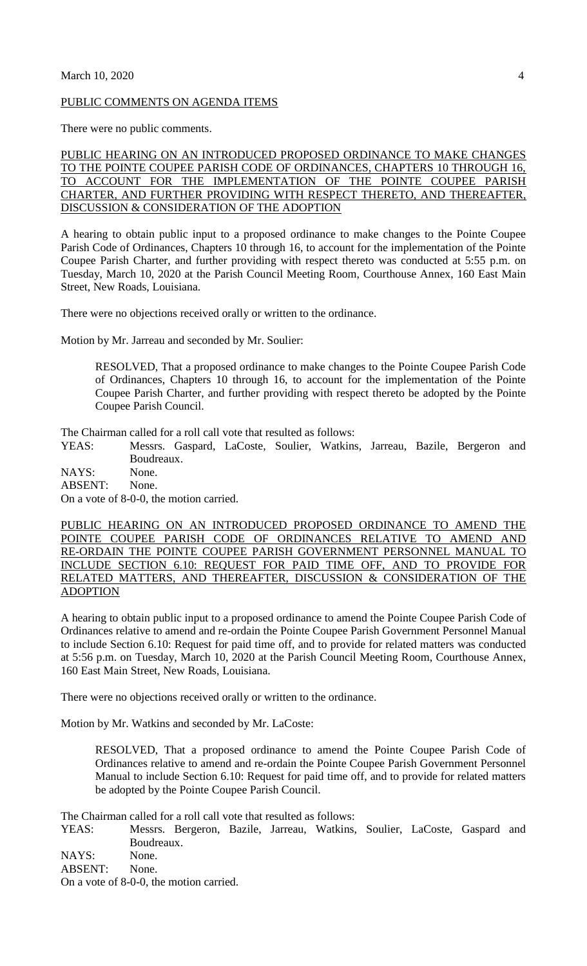#### PUBLIC COMMENTS ON AGENDA ITEMS

There were no public comments.

PUBLIC HEARING ON AN INTRODUCED PROPOSED ORDINANCE TO MAKE CHANGES TO THE POINTE COUPEE PARISH CODE OF ORDINANCES, CHAPTERS 10 THROUGH 16, TO ACCOUNT FOR THE IMPLEMENTATION OF THE POINTE COUPEE PARISH CHARTER, AND FURTHER PROVIDING WITH RESPECT THERETO, AND THEREAFTER, DISCUSSION & CONSIDERATION OF THE ADOPTION

A hearing to obtain public input to a proposed ordinance to make changes to the Pointe Coupee Parish Code of Ordinances, Chapters 10 through 16, to account for the implementation of the Pointe Coupee Parish Charter, and further providing with respect thereto was conducted at 5:55 p.m. on Tuesday, March 10, 2020 at the Parish Council Meeting Room, Courthouse Annex, 160 East Main Street, New Roads, Louisiana.

There were no objections received orally or written to the ordinance.

Motion by Mr. Jarreau and seconded by Mr. Soulier:

RESOLVED, That a proposed ordinance to make changes to the Pointe Coupee Parish Code of Ordinances, Chapters 10 through 16, to account for the implementation of the Pointe Coupee Parish Charter, and further providing with respect thereto be adopted by the Pointe Coupee Parish Council.

The Chairman called for a roll call vote that resulted as follows:

YEAS: Messrs. Gaspard, LaCoste, Soulier, Watkins, Jarreau, Bazile, Bergeron and Boudreaux.

NAYS: None. ABSENT: None.

On a vote of 8-0-0, the motion carried.

PUBLIC HEARING ON AN INTRODUCED PROPOSED ORDINANCE TO AMEND THE POINTE COUPEE PARISH CODE OF ORDINANCES RELATIVE TO AMEND AND RE-ORDAIN THE POINTE COUPEE PARISH GOVERNMENT PERSONNEL MANUAL TO INCLUDE SECTION 6.10: REQUEST FOR PAID TIME OFF, AND TO PROVIDE FOR RELATED MATTERS, AND THEREAFTER, DISCUSSION & CONSIDERATION OF THE ADOPTION

A hearing to obtain public input to a proposed ordinance to amend the Pointe Coupee Parish Code of Ordinances relative to amend and re-ordain the Pointe Coupee Parish Government Personnel Manual to include Section 6.10: Request for paid time off, and to provide for related matters was conducted at 5:56 p.m. on Tuesday, March 10, 2020 at the Parish Council Meeting Room, Courthouse Annex, 160 East Main Street, New Roads, Louisiana.

There were no objections received orally or written to the ordinance.

Motion by Mr. Watkins and seconded by Mr. LaCoste:

RESOLVED, That a proposed ordinance to amend the Pointe Coupee Parish Code of Ordinances relative to amend and re-ordain the Pointe Coupee Parish Government Personnel Manual to include Section 6.10: Request for paid time off, and to provide for related matters be adopted by the Pointe Coupee Parish Council.

The Chairman called for a roll call vote that resulted as follows:

YEAS: Messrs. Bergeron, Bazile, Jarreau, Watkins, Soulier, LaCoste, Gaspard and Boudreaux.

NAYS: None.

ABSENT: None.

On a vote of 8-0-0, the motion carried.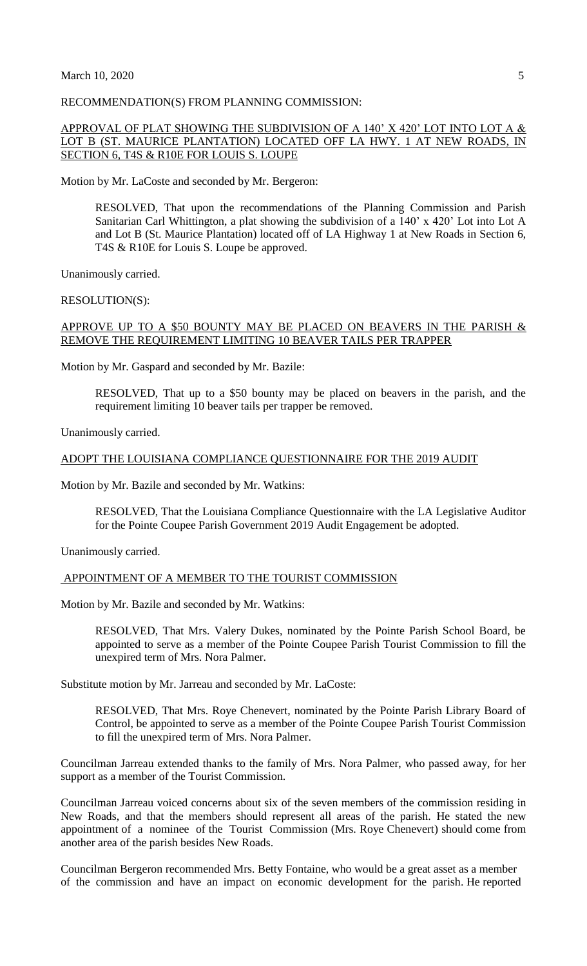#### RECOMMENDATION(S) FROM PLANNING COMMISSION:

## APPROVAL OF PLAT SHOWING THE SUBDIVISION OF A 140' X 420' LOT INTO LOT A  $\&$ LOT B (ST. MAURICE PLANTATION) LOCATED OFF LA HWY. 1 AT NEW ROADS, IN SECTION 6, T4S & R10E FOR LOUIS S. LOUPE

Motion by Mr. LaCoste and seconded by Mr. Bergeron:

RESOLVED, That upon the recommendations of the Planning Commission and Parish Sanitarian Carl Whittington, a plat showing the subdivision of a 140' x 420' Lot into Lot A and Lot B (St. Maurice Plantation) located off of LA Highway 1 at New Roads in Section 6, T4S & R10E for Louis S. Loupe be approved.

Unanimously carried.

RESOLUTION(S):

# APPROVE UP TO A \$50 BOUNTY MAY BE PLACED ON BEAVERS IN THE PARISH  $\&$ REMOVE THE REQUIREMENT LIMITING 10 BEAVER TAILS PER TRAPPER

Motion by Mr. Gaspard and seconded by Mr. Bazile:

RESOLVED, That up to a \$50 bounty may be placed on beavers in the parish, and the requirement limiting 10 beaver tails per trapper be removed.

Unanimously carried.

#### ADOPT THE LOUISIANA COMPLIANCE QUESTIONNAIRE FOR THE 2019 AUDIT

Motion by Mr. Bazile and seconded by Mr. Watkins:

RESOLVED, That the Louisiana Compliance Questionnaire with the LA Legislative Auditor for the Pointe Coupee Parish Government 2019 Audit Engagement be adopted.

Unanimously carried.

### APPOINTMENT OF A MEMBER TO THE TOURIST COMMISSION

Motion by Mr. Bazile and seconded by Mr. Watkins:

RESOLVED, That Mrs. Valery Dukes, nominated by the Pointe Parish School Board, be appointed to serve as a member of the Pointe Coupee Parish Tourist Commission to fill the unexpired term of Mrs. Nora Palmer.

Substitute motion by Mr. Jarreau and seconded by Mr. LaCoste:

RESOLVED, That Mrs. Roye Chenevert, nominated by the Pointe Parish Library Board of Control, be appointed to serve as a member of the Pointe Coupee Parish Tourist Commission to fill the unexpired term of Mrs. Nora Palmer.

Councilman Jarreau extended thanks to the family of Mrs. Nora Palmer, who passed away, for her support as a member of the Tourist Commission.

Councilman Jarreau voiced concerns about six of the seven members of the commission residing in New Roads, and that the members should represent all areas of the parish. He stated the new appointment of a nominee of the Tourist Commission (Mrs. Roye Chenevert) should come from another area of the parish besides New Roads.

Councilman Bergeron recommended Mrs. Betty Fontaine, who would be a great asset as a member of the commission and have an impact on economic development for the parish. He reported